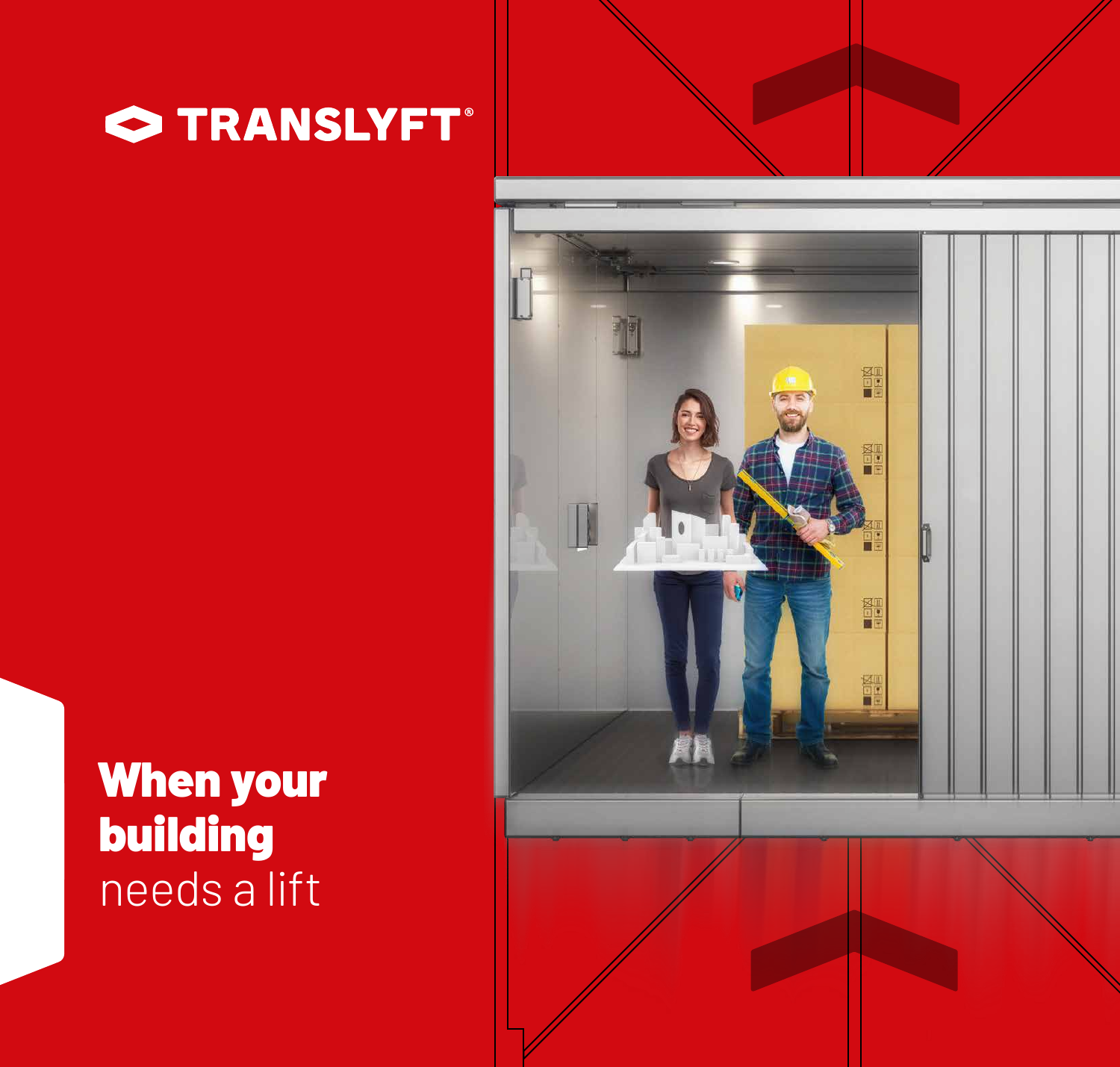



### When your building needs a lift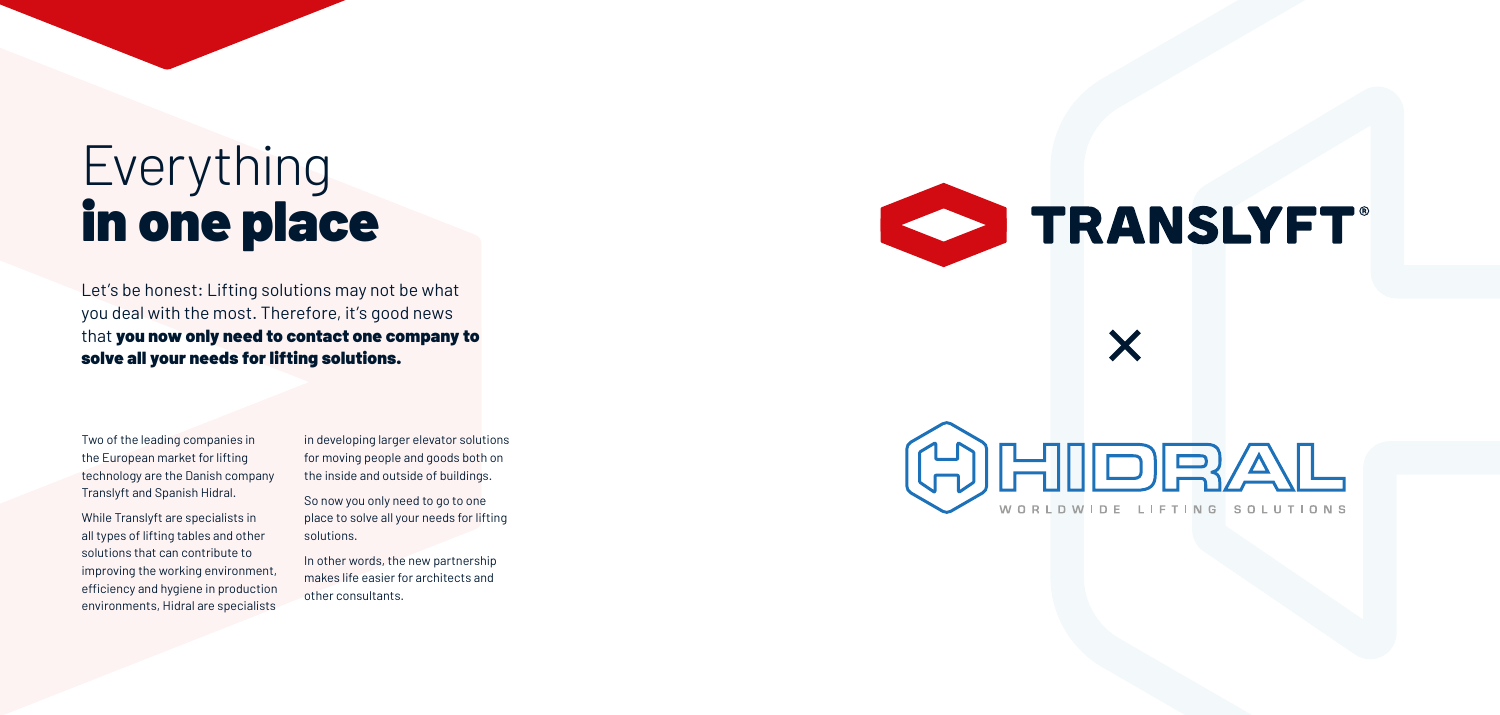Two of the leading companies in the European market for lifting technology are the Danish company Translyft and Spanish Hidral.

While Translyft are specialists in all types of lifting tables and other solutions that can contribute to improving the working environment, efficiency and hygiene in production environments, Hidral are specialists

in developing larger elevator solutions for moving people and goods both on the inside and outside of buildings.

So now you only need to go to one place to solve all your needs for lifting solutions.

In other words, the new partnership makes life easier for architects and other consultants.



X

# **CONTRANSLYFT**

HIDRAL WORLDWIDE LIFTING SOLUTIONS

## Everything in one place

Let's be honest: Lifting solutions may not be what you deal with the most. Therefore, it's good news that you now only need to contact one company to solve all your needs for lifting solutions.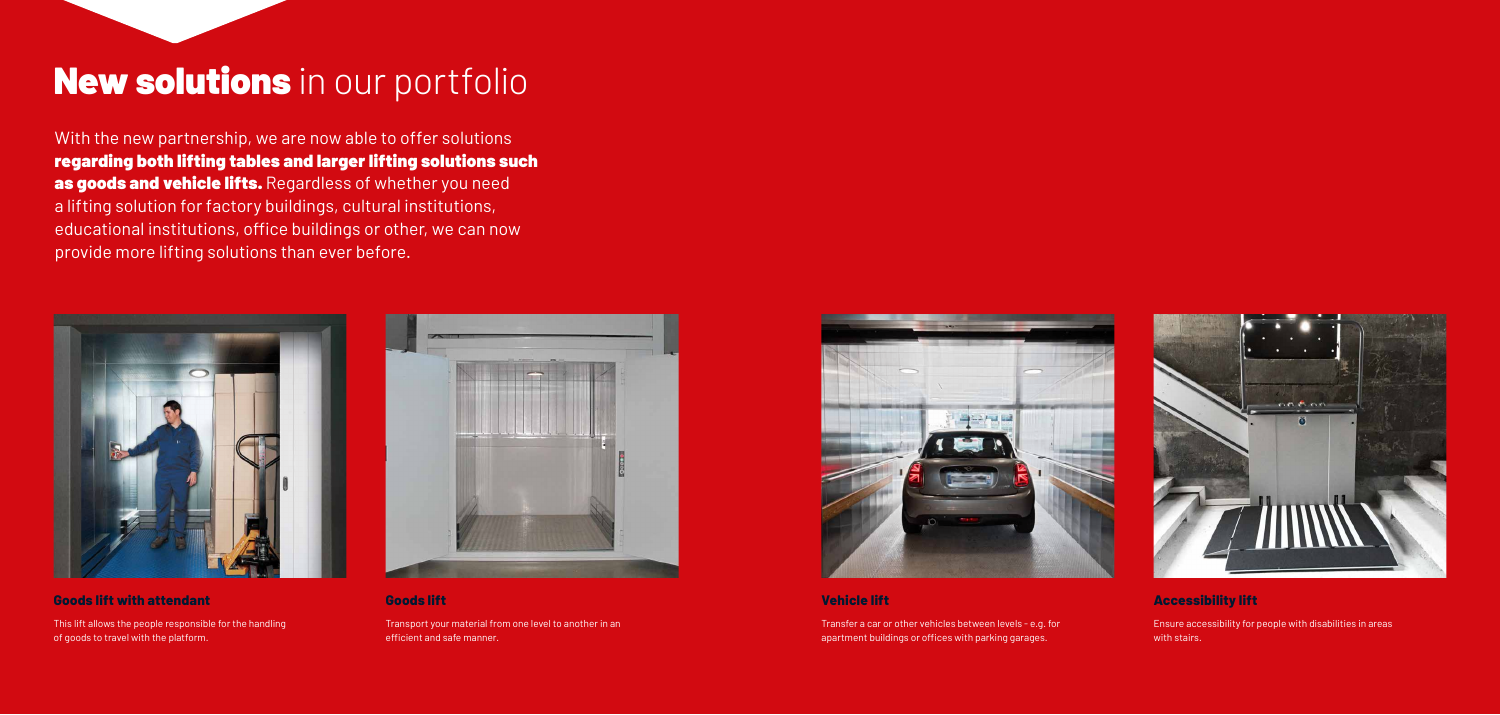### New solutions in our portfolio

With the new partnership, we are now able to offer solutions regarding both lifting tables and larger lifting solutions such as goods and vehicle lifts. Regardless of whether you need a lifting solution for factory buildings, cultural institutions, educational institutions, office buildings or other, we can now provide more lifting solutions than ever before.



#### **Goods lift with attendant**

This lift allows the people responsible for the handling of goods to travel with the platform.



#### **Vehicle lift**

Transfer a car or other vehicles between levels - e.g. for apartment buildings or offices with parking garages.



#### **Goods lift**

Transport your material from one level to another in an efficient and safe manner.



### **Accessibility lift**

Ensure accessibility for people with disabilities in areas with stairs.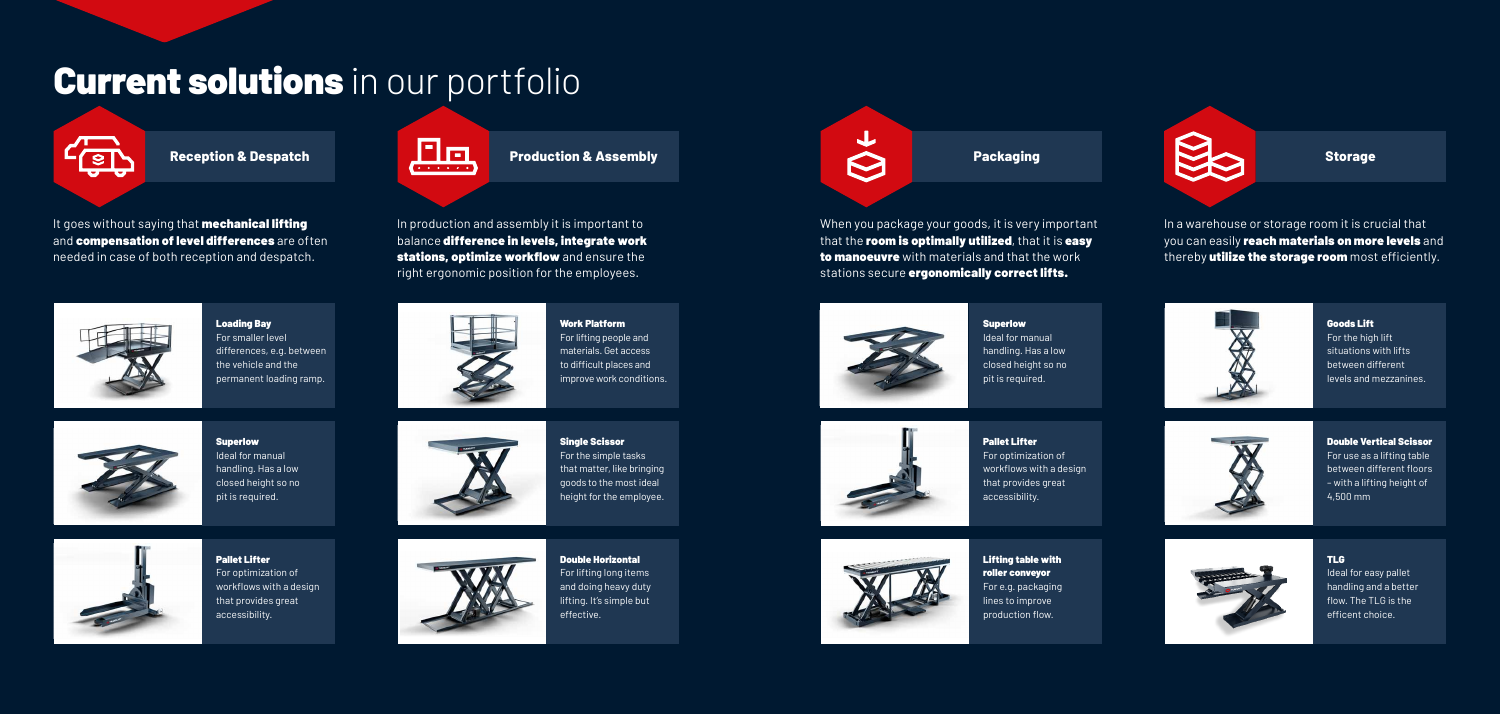

In a warehouse or storage room it is crucial that you can easily reach materials on more levels and thereby **utilize the storage room** most efficiently.



Loading Bay For smaller level differences, e.g. between the vehicle and the permanent loading ramp.



Superlow Ideal for manual handling. Has a low closed height so no pit is required.



Work Platform For lifting people and materials. Get access to difficult places and improve work conditions.



Superlow Ideal for manual handling. Has a low closed height so no pit is required.



Pallet Lifter For optimization of workflows with a design that provides great accessibility.

## **Current solutions** in our portfolio



It goes without saying that **mechanical lifting** and compensation of level differences are often needed in case of both reception and despatch.

When you package your goods, it is very important that the room is optimally utilized, that it is easy to manoeuvre with materials and that the work stations secure ergonomically correct lifts.





Pallet Lifter For optimization of workflows with a design that provides great accessibility.



Lifting table with roller conveyor For e.g. packaging lines to improve production flow.



Single Scissor For the simple tasks that matter, like bringing goods to the most ideal height for the employee.





For lifting long items and doing heavy duty lifting. It's simple but



In production and assembly it is important to balance difference in levels, integrate work stations, optimize workflow and ensure the right ergonomic position for the employees.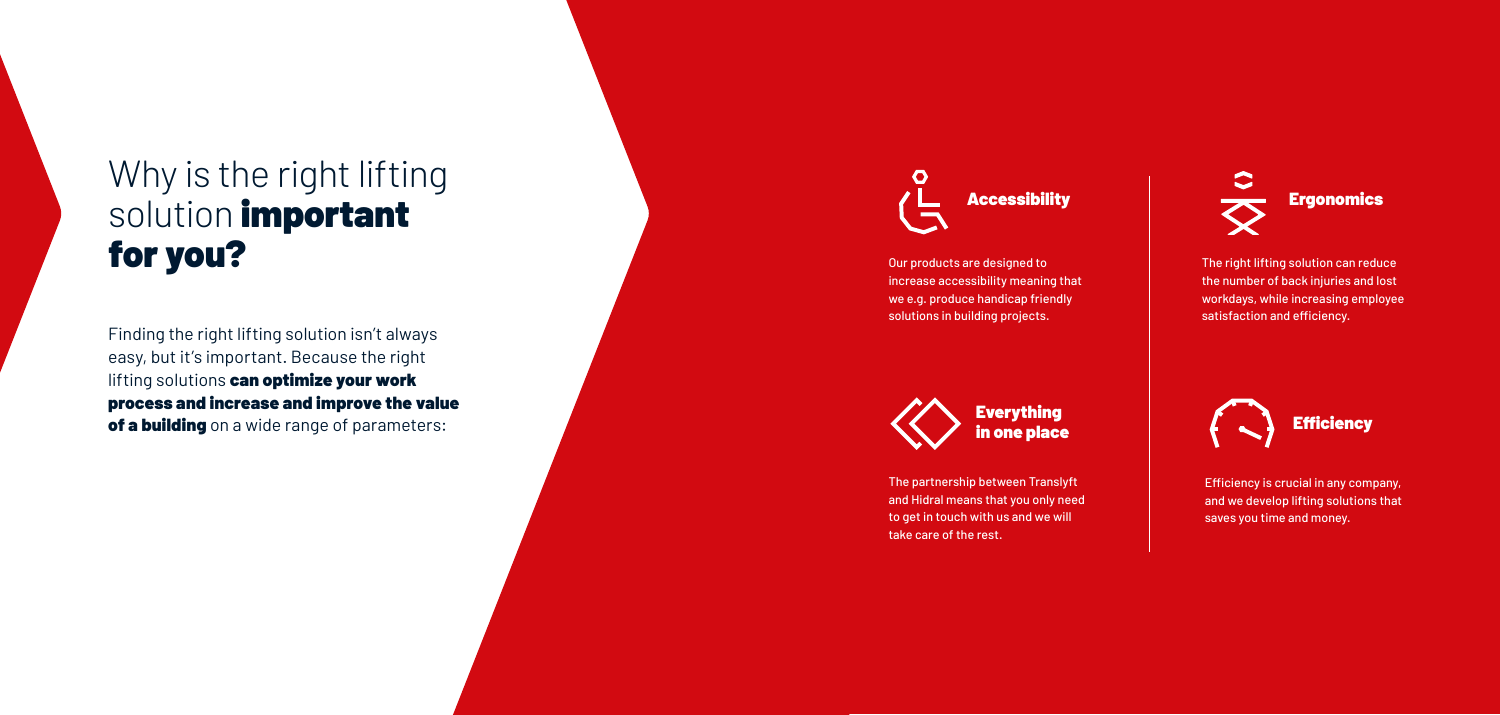Our products are designed to increase accessibility meaning that we e.g. produce handicap friendly solutions in building projects.

The right lifting solution can reduce the number of back injuries and lost workdays, while increasing employee satisfaction and efficiency.

Finding the right lifting solution isn't always easy, but it's important. Because the right lifting solutions can optimize your work process and increase and improve the value of a building on a wide range of parameters:



Efficiency is crucial in any company, and we develop lifting solutions that saves you time and money.

The partnership between Translyft and Hidral means that you only need to get in touch with us and we will take care of the rest.







### Why is the right lifting solution *important* for you?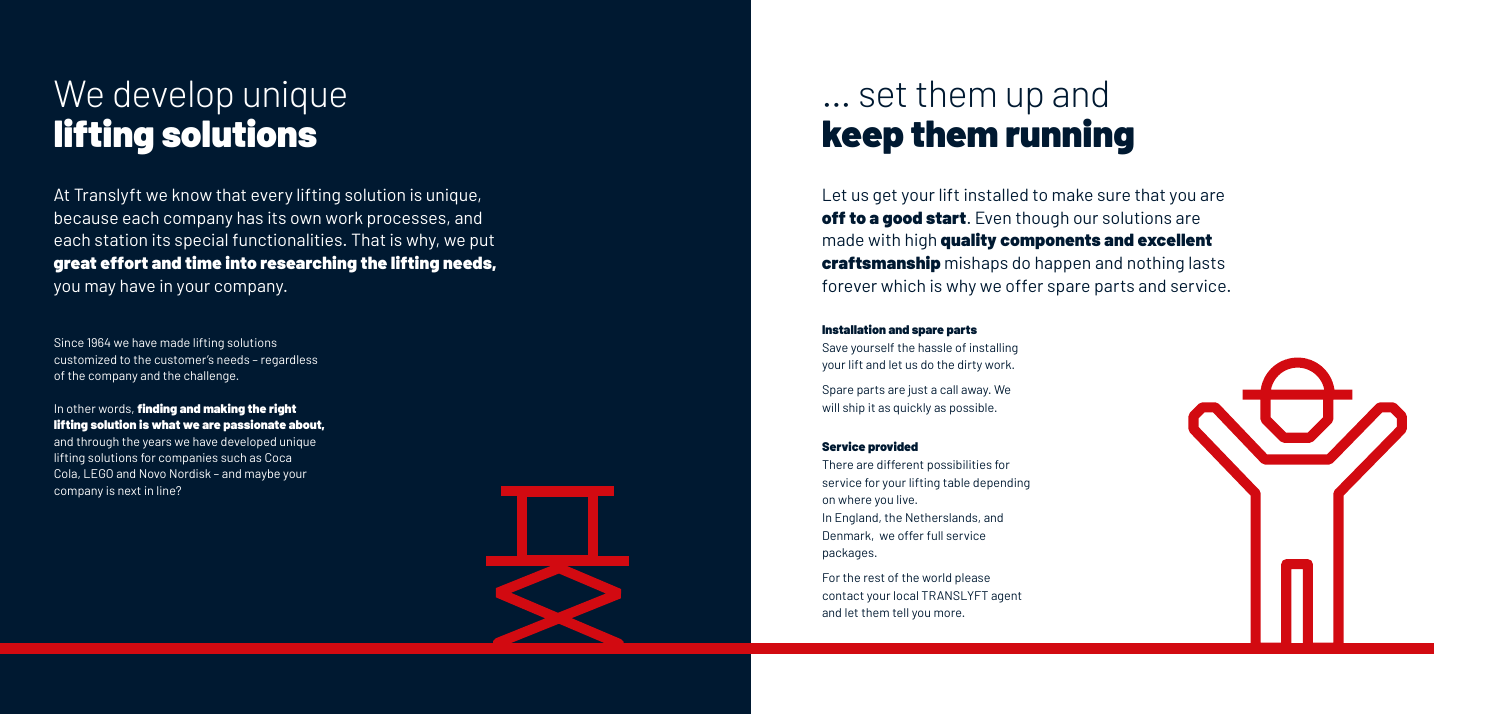### We develop unique lifting solutions

At Translyft we know that every lifting solution is unique, because each company has its own work processes, and each station its special functionalities. That is why, we put great effort and time into researching the lifting needs, you may have in your company.

In other words, finding and making the right lifting solution is what we are passionate about, and through the years we have developed unique lifting solutions for companies such as Coca Cola, LEGO and Novo Nordisk – and maybe your company is next in line?

Since 1964 we have made lifting solutions customized to the customer's needs – regardless of the company and the challenge.

### ... set them up and keep them running

Let us get your lift installed to make sure that you are off to a good start. Even though our solutions are made with high quality components and excellent **craftsmanship** mishaps do happen and nothing lasts forever which is why we offer spare parts and service.

#### Installation and spare parts

Save yourself the hassle of installing your lift and let us do the dirty work.

Spare parts are just a call away. We will ship it as quickly as possible.

#### Service provided

There are different possibilities for service for your lifting table depending on where you live. In England, the Netherslands, and Denmark, we offer full service packages.

For the rest of the world please contact your local TRANSLYFT agent and let them tell you more.